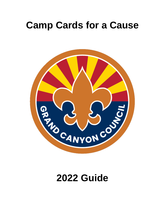# **Camp Cards for a Cause**



# **2022 Guide**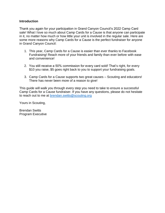#### **Introduction**

Thank you again for your participation in Grand Canyon Council's 2022 Camp Card sale! What I love so much about Camp Cards for a Cause is that anyone can participate in it, no matter how much or how little your unit is involved in the regular sale. Here are some more reasons why Camp Cards for a Cause is the perfect fundraiser for anyone in Grand Canyon Council:

- 1. This year, Camp Cards for a Cause is easier than ever thanks to Facebook Fundraising! Reach more of your friends and family than ever before with ease and convenience!
- 2. You still receive a 50% commission for every card sold! That's right, for every \$10 you raise, \$5 goes right back to you to support your fundraising goals.
- 3. Camp Cards for a Cause supports two great causes Scouting and educators! There has never been more of a reason to give!

This guide will walk you through every step you need to take to ensure a successful Camp Cards for a Cause fundraiser. If you have any questions, please do not hesitate to reach out to me at [brendan.switts@scouting.org](mailto:brendan.switts@scouting.org)

Yours in Scouting,

Brendan Switts Program Executive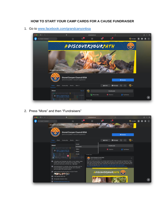## **HOW TO START YOUR CAMP CARDS FOR A CAUSE FUNDRAISER**

1. Go to [www.facebook.com/grandcanyonbsa](http://www.facebook.com/grandcanyonbsa)



2. Press "More" and then "Fundraisers"

| $\bullet\bullet\bullet$ $\square$ $\times$ $\leftarrow$ $>$ | $\bullet$                                              |                                                                                                                                                                                                                                                                                                                                         | a facebook.com                                 |                 | $\sigma$                                                                                                                                                                                                                                                                                                                                                                                                                 |                 |   | m                       |  | 88 |  |
|-------------------------------------------------------------|--------------------------------------------------------|-----------------------------------------------------------------------------------------------------------------------------------------------------------------------------------------------------------------------------------------------------------------------------------------------------------------------------------------|------------------------------------------------|-----------------|--------------------------------------------------------------------------------------------------------------------------------------------------------------------------------------------------------------------------------------------------------------------------------------------------------------------------------------------------------------------------------------------------------------------------|-----------------|---|-------------------------|--|----|--|
| Q Search Facebook                                           | क़                                                     | $\mathbb{F}^2$                                                                                                                                                                                                                                                                                                                          | 局                                              |                 | $\blacksquare$                                                                                                                                                                                                                                                                                                                                                                                                           | <b>Rendan</b>   | m |                         |  |    |  |
|                                                             | <b>#GRANDCANYONBSA</b>                                 |                                                                                                                                                                                                                                                                                                                                         |                                                |                 |                                                                                                                                                                                                                                                                                                                                                                                                                          |                 |   |                         |  |    |  |
|                                                             |                                                        | <b>Grand Canyon Council BSA</b><br>@GrandCanyonBSA - Nonprofit organization                                                                                                                                                                                                                                                             |                                                |                 |                                                                                                                                                                                                                                                                                                                                                                                                                          | <b>Q</b> Donate |   |                         |  |    |  |
|                                                             | Home<br>About<br>Community<br>Events                   | More $\rightarrow$                                                                                                                                                                                                                                                                                                                      |                                                | <b>Ib</b> Liked | <b>O</b> Message                                                                                                                                                                                                                                                                                                                                                                                                         | $\alpha$        |   |                         |  |    |  |
|                                                             | About                                                  | Donate                                                                                                                                                                                                                                                                                                                                  |                                                |                 | <b>Create post</b>                                                                                                                                                                                                                                                                                                                                                                                                       |                 |   |                         |  |    |  |
|                                                             | 3840 E. Chaparral Rd. Ste.<br>200 Scottsdale, AZ 85250 | Fundraisers<br><b>Videos</b><br><b>Photos</b>                                                                                                                                                                                                                                                                                           |                                                |                 | Check in                                                                                                                                                                                                                                                                                                                                                                                                                 | Tag friends     |   |                         |  |    |  |
|                                                             | C Chaparral Rd<br>- E Chapanal Rd.                     | <b>Groups</b>                                                                                                                                                                                                                                                                                                                           | Pinned post<br><b>Grand Canyon Council BSA</b> |                 |                                                                                                                                                                                                                                                                                                                                                                                                                          |                 |   |                         |  |    |  |
|                                                             |                                                        | In Scouting you'll develop new skills, try new hobbies, make<br>friends, learn teamwork, experience the outdoors, and<br>serve your community-all while havi See more<br>Scouting benefits its members, their communities, and the<br>future by helping youth build character, learn about the<br>world and grow into inspired leaders. |                                                |                 | <br>ربي<br>March 3 at 10:23 AM - @<br>We're all ready to put down our screens (even if just for a few moments) to experience "real".<br>Real nature, real friendships, real excitement! In Scouting, we learn life skillsskills that matter.<br>We make friendships that mean something. We value each other and the communities around<br>us. Find Scouting near you! https://beascout.scouting.org/ #Discoveryourpath. |                 |   |                         |  |    |  |
|                                                             |                                                        |                                                                                                                                                                                                                                                                                                                                         |                                                |                 | #GrandCanyonBSA #AdventureOn #BeAScout #ScoutsBSA #GrandCanyonCouncil                                                                                                                                                                                                                                                                                                                                                    |                 |   |                         |  |    |  |
|                                                             | 4,445 people like this including 21 of your friends    | #DISCOVERYOURPATH                                                                                                                                                                                                                                                                                                                       |                                                |                 |                                                                                                                                                                                                                                                                                                                                                                                                                          |                 |   |                         |  |    |  |
|                                                             | 4,787 people follow this<br>489 people checked in here |                                                                                                                                                                                                                                                                                                                                         |                                                |                 |                                                                                                                                                                                                                                                                                                                                                                                                                          |                 |   | $\overline{\mathbf{z}}$ |  |    |  |
|                                                             | http://www.grandcanyonbsa.org/                         |                                                                                                                                                                                                                                                                                                                                         |                                                |                 |                                                                                                                                                                                                                                                                                                                                                                                                                          |                 |   |                         |  |    |  |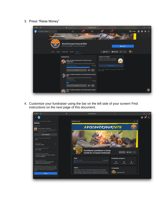3. Press "Raise Money"

| $\bullet \bullet \bullet : \quad \blacksquare \, \vdash \, \langle \quad \rangle$ |                        | $\bullet$                                                                                                                                          | a facebook.com                                                                                                                                                                                                                                                        |                                                                                                                                       | $\sigma$                                                                            |            |  | 卣<br>÷ | 88    |
|-----------------------------------------------------------------------------------|------------------------|----------------------------------------------------------------------------------------------------------------------------------------------------|-----------------------------------------------------------------------------------------------------------------------------------------------------------------------------------------------------------------------------------------------------------------------|---------------------------------------------------------------------------------------------------------------------------------------|-------------------------------------------------------------------------------------|------------|--|--------|-------|
| Q Search Facebook                                                                 |                        | क़                                                                                                                                                 | $\mathbb{E}^{\frac{9+}{2}}$<br>局                                                                                                                                                                                                                                      | G,                                                                                                                                    | $\mathbf{G}$                                                                        | Brendan :: |  |        |       |
|                                                                                   | <b>#GRANDCANYONBSA</b> |                                                                                                                                                    |                                                                                                                                                                                                                                                                       |                                                                                                                                       |                                                                                     |            |  |        |       |
|                                                                                   |                        | <b>Grand Canyon Council BSA</b><br>@GrandCanyonBSA - Nonprofit organization                                                                        |                                                                                                                                                                                                                                                                       |                                                                                                                                       | <b>O</b> Donate                                                                     |            |  |        |       |
|                                                                                   | Home<br>About          | Community<br>Events                                                                                                                                | More *                                                                                                                                                                                                                                                                | <b>Ib</b> Liked                                                                                                                       | <b>Ø</b> Message<br>$\alpha$                                                        | $\cdots$   |  |        |       |
|                                                                                   |                        | <b>Fundraisers</b><br><b>Council BSA</b><br>\$160 raised of \$200<br><b>BSA</b><br><b>Crandall Barlow</b><br>\$15 raised of \$200<br><b>Donate</b> | Abby's birthday fundraiser for Grand Canyon<br>Fundraiser for Grand Canyon Council BSA by Abby Lyon<br><b>Donate</b><br>P<br>$\sum_{i=1}^{n}$<br>Amy's birthday fundraiser for Grand Canyon Council<br>Fundraiser for Grand Canyon Council BSA by Amy<br>۰<br>$\circ$ | Create a Fundraiser<br>Support this nonprofit by creating a<br>fundraiser that people can donate to.<br>Ended<br>Meta @ 2022<br>Ended | <b>Raise Money</b><br>Privacy - Terms - Advertising - Ad Choices D - Cookies - More |            |  |        |       |
|                                                                                   |                        | <b>BSA</b>                                                                                                                                         | Nick's birthday fundraiser for Grand Canyon Council                                                                                                                                                                                                                   |                                                                                                                                       |                                                                                     |            |  |        | $\Xi$ |

4. Customize your fundraiser using the bar on the left side of your screen! Find instructions on the next page of this document.

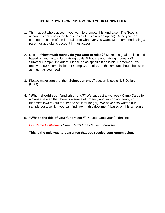#### **INSTRUCTIONS FOR CUSTOMIZING YOUR FUNDRAISER**

- 1. Think about who's account you want to promote this fundraiser. The Scout's account is not always the best choice (if it is even an option). Since you can change the name of the fundraiser to whatever you want, we recommend using a parent or guardian's account in most cases.
- 2. Decide **"How much money do you want to raise?"** Make this goal realistic and based on your actual fundraising goals. What are you raising money for? Summer Camp? Unit dues? Please be as specific if possible. Remember, you receive a 50% commission for Camp Card sales, so this amount should be twice as much as you need.
- 3. Please make sure that the **"Select currency"** section is set to "US Dollars (USD).
- 4. **"When should your fundraiser end?"** We suggest a two-week Camp Cards for a Cause sale so that there is a sense of urgency and you do not annoy your friends/followers (but feel free to set it for longer). We have also written our sample posts (which you can find later in this document) based on this schedule.
- 5. **"What's the title of your fundraiser?"** Please name your fundraiser:

*FirstName LastName's Camp Cards for a Cause Fundraiser*

**This is the only way to guarantee that you receive your commission.**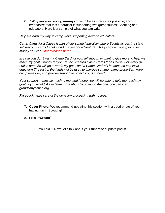6. **"Why are you raising money?"** Try to be as specific as possible, and emphasize that this fundraiser is supporting two great causes: Scouting and educators. Here is a sample of what you can write:

*Help me earn my way to camp while supporting Arizona educators!* 

*Camp Cards for a Cause is part of our spring fundraiser where Scouts across the state sell discount cards to help fund our year of adventure. This year, I am trying to raise money so I can \*insert reason here\*.*

*In case you don't want a Camp Card for yourself though or want to give more to help me reach my goal, Grand Canyon Council created Camp Cards for a Cause. For every \$10 I raise here, \$5 will go towards my goal, and a Camp Card will be donated to a local educator! The rest of the funds will be used to improve summer camp properties, keep camp fees low, and provide support to other Scouts in need!* 

*Your support means so much to me, and I hope you will be able to help me reach my goal. If you would like to learn more about Scouting in Arizona, you can visit grandcanyonbsa.org* 

*Facebook takes care of the donation processing with no fees.*

- 7. **Cover Photo:** We recommend updating this section with a good photo of you having fun in Scouting!
- 8. Press **"Create"**

You did it! Now, let's talk about your fundraiser update posts!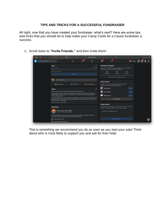### **TIPS AND TRICKS FOR A SUCCESSFUL FUNDRAISER**

All right, now that you have created your fundraiser, what's next? Here are some tips and tricks that you should do to help make your Camp Cards for a Cause fundraiser a success.

- $\overline{\mathbf{0}}$ . . . A facebook com  $\underline{\mathbb{E}}^{9+}$  $\odot^4$  $\epsilon$  $\bigoplus$ Ð Brendan : 11 0 Goal **Fundraiser progress** 1 day left No one has donated to your fundr<br>and share your story to build mon Invite friends 0<br>invited O<br>donated Be the first of your friends to donate Write something. **Invite friends** Photo/video  $\overset{\bullet}{\bullet}$  Tag friends  $\odot$  Feeling/activity People who invite friends raise more money. We<br>recommend inviting about 180 people. Amy Switts About Ryan Switts Camp Cards for a Cause is part of our spring fundraiser where Scouts across the state sell<br>discount cards to help fund our year of adventure. This year, I am trying to raise money so I<br>can \*insert reason here\*. Glenn Switts See all friends Brendan Switts • March 25, 2022 Share update Introduce your fundraiser by sharing it on Feed. Tell friends<br>why you're raising money and how they can help. **Benefiting** Grand Canyon Council BSA Thanks for the support so far. **NA ST** Scouting benefits its members, their communities, and the future by helping youth build<br>character, learn about the world and grow into inspired leaders. 4,445 people like this  $\mathbf{E}$ Sased in Scottsdale, Arizona
- 1. Scroll down to **"Invite Friends,"** and then invite them!

This is something we recommend you do as soon as you start your sale! Think about who is most likely to support you and ask for their help!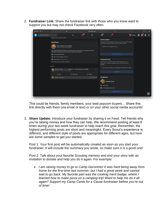2. **Fundraiser Link:** Share the fundraiser link with those who you know want to support you but may not check Facebook very often.

| $\bullet\bullet\bullet\quad\square\,\vdash\,\,\leftarrow\,\,\rightarrow\,\,$ |                                                                                                                                                                                                                                       | $\bullet$ |                        | a facebook.com |                               | ¢.                                                                                                               |            |  | 88 |
|------------------------------------------------------------------------------|---------------------------------------------------------------------------------------------------------------------------------------------------------------------------------------------------------------------------------------|-----------|------------------------|----------------|-------------------------------|------------------------------------------------------------------------------------------------------------------|------------|--|----|
| Q Search Facebook                                                            |                                                                                                                                                                                                                                       | क़        | $\mathbb{E}^{\bullet}$ | 局              | $\circledast^4$               | ď                                                                                                                | Brendan :: |  |    |
|                                                                              | Brendan Switts . March 25, 2022                                                                                                                                                                                                       |           |                        |                | Share update                  |                                                                                                                  |            |  |    |
|                                                                              | <b>Benefiting</b>                                                                                                                                                                                                                     |           |                        |                |                               | Introduce your fundraiser by sharing it on Feed. Tell friends<br>why you're raising money and how they can help. |            |  |    |
|                                                                              | <b>Grand Canyon Council BSA</b><br>US 501(c)(3) nonprofit organization<br>Scouting benefits its members, their communities, and the future by helping youth build<br>character, learn about the world and grow into inspired leaders. |           |                        |                | Thanks for the support so far |                                                                                                                  |            |  |    |
|                                                                              |                                                                                                                                                                                                                                       |           |                        |                |                               |                                                                                                                  |            |  |    |
|                                                                              | 4,445 people like this                                                                                                                                                                                                                |           |                        |                |                               | <b>Share fundraiser</b>                                                                                          |            |  |    |
|                                                                              | Based in Scottsdale, Arizona<br>Learn more at Guidestar.org                                                                                                                                                                           |           |                        |                | <b>Fundraiser link</b>        |                                                                                                                  |            |  |    |
|                                                                              | Receiving donations directly. Learn More                                                                                                                                                                                              |           |                        |                |                               | Copy your fundraiser link to share it through email,                                                             |            |  |    |
|                                                                              | Activity                                                                                                                                                                                                                              |           |                        |                | friends.                      | Instagram, Twitter or wherever else you connect with                                                             |            |  |    |
|                                                                              | Brendan Switts created a fundraiser for Grand Canyon Council BSA.<br>$\cdots$                                                                                                                                                         |           |                        |                |                               | https://www.facebook.com/donate/229450879373304/                                                                 |            |  |    |
|                                                                              | Just now - Facebook fundraisers - @                                                                                                                                                                                                   |           |                        |                |                               | Copy link                                                                                                        |            |  |    |
|                                                                              | <b>D</b> Like                                                                                                                                                                                                                         | C Comment | $\triangle$ Share      |                |                               |                                                                                                                  |            |  |    |
|                                                                              | Write a comment.                                                                                                                                                                                                                      |           |                        | 0000           | <b>Created by</b>             |                                                                                                                  |            |  |    |
|                                                                              |                                                                                                                                                                                                                                       |           |                        |                |                               | <b>Brendan Switts</b>                                                                                            |            |  |    |
|                                                                              |                                                                                                                                                                                                                                       |           |                        |                | 81 913 friends                |                                                                                                                  |            |  |    |
|                                                                              |                                                                                                                                                                                                                                       |           |                        |                |                               | On Facebook since 2014                                                                                           |            |  |    |
|                                                                              |                                                                                                                                                                                                                                       |           |                        |                |                               | <b>Add organizers</b>                                                                                            |            |  | 図  |
|                                                                              |                                                                                                                                                                                                                                       |           |                        |                |                               |                                                                                                                  |            |  |    |

This could be friends, family members, your best popcorn buyers… Share this link directly with them (via email or text) or on your other social media accounts!

3. **Share Update:** Introduce your fundraiser by sharing it on Feed. Tell friends why you're raising money and how they can help. We recommend posting at least 6 times during your two-week fundraiser to help reach this goal. Remember, the highest performing posts are short and meaningful. Every Scout's experience is different, and different style of posts are appropriate for different ages, but here are some samples to get you started:

Post 1: Your first post will be automatically created as soon as you start your fundraiser. It will include the summary you wrote, so make sure it is a good one!

Post 2: Talk about your favorite Scouting memory and end your story with an invitation to donate and help you do it again. For example:

• *I am raising money to go to Camp Geronimo! It was hard being away from home for the first-time last summer, but I had a great week and cannot wait to go back. My favorite part was the cooking merit badge, where I learned how to make pizza on a camping trip! Want to help me do it all again? Support my Camp Cards for a Cause fundraiser before you're out of time!*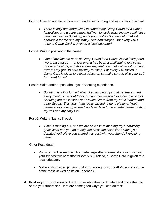Post 3: Give an update on how your fundraiser is going and ask others to join in!

• *There is only one more week to support my Camp Cards for a Cause fundraiser, and we are almost halfway towards reaching my goal! I love being involved in Scouting, and opportunities like this help make it affordable for me and my family. And don't forget – for every \$10 I raise, a Camp Card is given to a local educator!*

Post 4: Write a post about the cause:

• *One of my favorite parts of Camp Cards for a Cause is that it supports two great causes – not just one! It has been a challenging few years for our educators, and this is one way that I can help while still working towards my goal to earn my way to camp. For every \$10 raised, a Camp Card is given to a local educator, so make sure to give your \$10 (or more) today!* 

Post 5: Write another post about your Scouting experience.

• *Scouting is full of fun activities like camping trips that get me excited every month to get outdoors, but another reason I love being a part of Scouting are the lessons and values I learn from my adult leaders and other Scouts. This year, I am really excited to go to National Youth Leadership Training, where I will learn how to be a better leader both in my unit and my daily life!* 

Post 6: Write a "last call" post.

• *Time is running out, and we are so close to meeting my fundraising goal! What can you do to help me cross the finish line? Have you donated yet? Have you shared this post with your friends? Anything helps!* 

Other Post Ideas:

- Publicly thank someone who made larger-than-normal donation. Remind your friends/followers that for every \$10 raised, a Camp Card is given to a local educator.
- Make a short video (in your uniform!) asking for support! Videos are some of the most viewed posts on Facebook.
- 4. **Post in your fundraiser** to thank those who already donated and invite them to share your fundraiser. Here are some good ways you can do this: